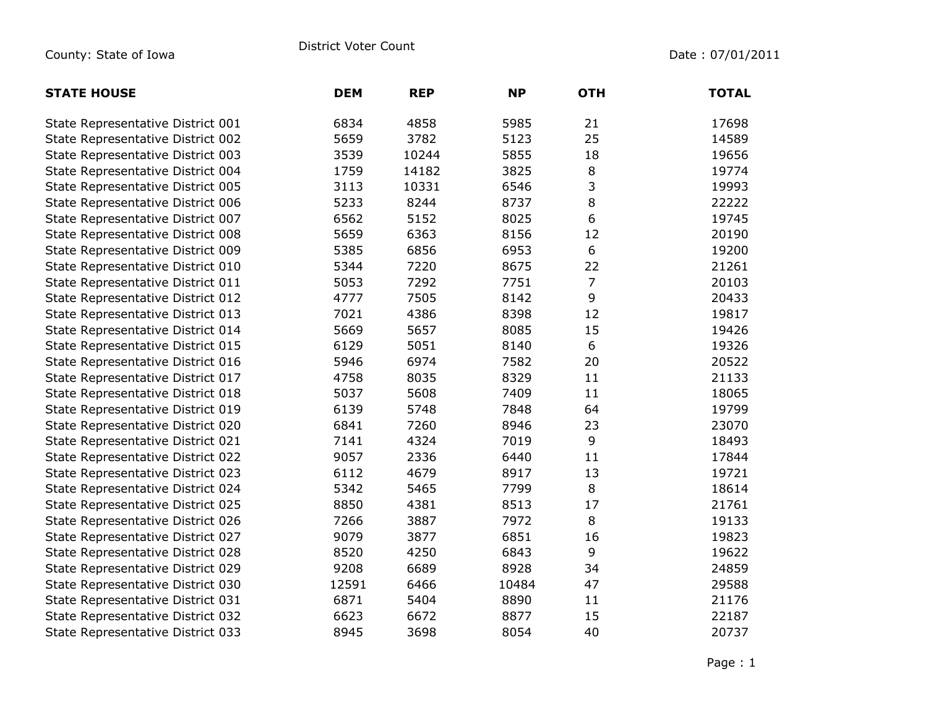| <b>STATE HOUSE</b>                | <b>DEM</b> | <b>REP</b> | <b>NP</b> | <b>OTH</b>     | <b>TOTAL</b> |
|-----------------------------------|------------|------------|-----------|----------------|--------------|
| State Representative District 001 | 6834       | 4858       | 5985      | 21             | 17698        |
| State Representative District 002 | 5659       | 3782       | 5123      | 25             | 14589        |
| State Representative District 003 | 3539       | 10244      | 5855      | 18             | 19656        |
| State Representative District 004 | 1759       | 14182      | 3825      | $\, 8$         | 19774        |
| State Representative District 005 | 3113       | 10331      | 6546      | 3              | 19993        |
| State Representative District 006 | 5233       | 8244       | 8737      | 8              | 22222        |
| State Representative District 007 | 6562       | 5152       | 8025      | 6              | 19745        |
| State Representative District 008 | 5659       | 6363       | 8156      | 12             | 20190        |
| State Representative District 009 | 5385       | 6856       | 6953      | 6              | 19200        |
| State Representative District 010 | 5344       | 7220       | 8675      | 22             | 21261        |
| State Representative District 011 | 5053       | 7292       | 7751      | $\overline{7}$ | 20103        |
| State Representative District 012 | 4777       | 7505       | 8142      | 9              | 20433        |
| State Representative District 013 | 7021       | 4386       | 8398      | 12             | 19817        |
| State Representative District 014 | 5669       | 5657       | 8085      | 15             | 19426        |
| State Representative District 015 | 6129       | 5051       | 8140      | $6\,$          | 19326        |
| State Representative District 016 | 5946       | 6974       | 7582      | 20             | 20522        |
| State Representative District 017 | 4758       | 8035       | 8329      | 11             | 21133        |
| State Representative District 018 | 5037       | 5608       | 7409      | 11             | 18065        |
| State Representative District 019 | 6139       | 5748       | 7848      | 64             | 19799        |
| State Representative District 020 | 6841       | 7260       | 8946      | 23             | 23070        |
| State Representative District 021 | 7141       | 4324       | 7019      | 9              | 18493        |
| State Representative District 022 | 9057       | 2336       | 6440      | $11\,$         | 17844        |
| State Representative District 023 | 6112       | 4679       | 8917      | 13             | 19721        |
| State Representative District 024 | 5342       | 5465       | 7799      | 8              | 18614        |
| State Representative District 025 | 8850       | 4381       | 8513      | 17             | 21761        |
| State Representative District 026 | 7266       | 3887       | 7972      | 8              | 19133        |
| State Representative District 027 | 9079       | 3877       | 6851      | 16             | 19823        |
| State Representative District 028 | 8520       | 4250       | 6843      | 9              | 19622        |
| State Representative District 029 | 9208       | 6689       | 8928      | 34             | 24859        |
| State Representative District 030 | 12591      | 6466       | 10484     | 47             | 29588        |
| State Representative District 031 | 6871       | 5404       | 8890      | 11             | 21176        |
| State Representative District 032 | 6623       | 6672       | 8877      | 15             | 22187        |
| State Representative District 033 | 8945       | 3698       | 8054      | 40             | 20737        |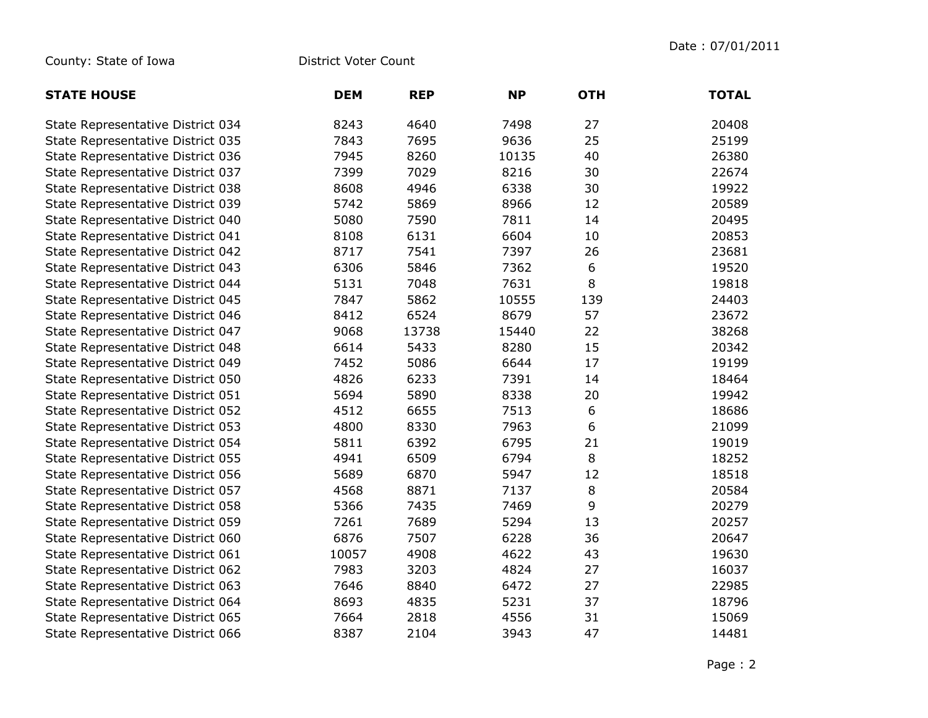County: State of Iowa District Voter Count

| <b>STATE HOUSE</b>                | <b>DEM</b> | <b>REP</b> | <b>NP</b> | <b>OTH</b> | <b>TOTAL</b> |
|-----------------------------------|------------|------------|-----------|------------|--------------|
| State Representative District 034 | 8243       | 4640       | 7498      | 27         | 20408        |
| State Representative District 035 | 7843       | 7695       | 9636      | 25         | 25199        |
| State Representative District 036 | 7945       | 8260       | 10135     | 40         | 26380        |
| State Representative District 037 | 7399       | 7029       | 8216      | 30         | 22674        |
| State Representative District 038 | 8608       | 4946       | 6338      | 30         | 19922        |
| State Representative District 039 | 5742       | 5869       | 8966      | 12         | 20589        |
| State Representative District 040 | 5080       | 7590       | 7811      | 14         | 20495        |
| State Representative District 041 | 8108       | 6131       | 6604      | 10         | 20853        |
| State Representative District 042 | 8717       | 7541       | 7397      | 26         | 23681        |
| State Representative District 043 | 6306       | 5846       | 7362      | 6          | 19520        |
| State Representative District 044 | 5131       | 7048       | 7631      | 8          | 19818        |
| State Representative District 045 | 7847       | 5862       | 10555     | 139        | 24403        |
| State Representative District 046 | 8412       | 6524       | 8679      | 57         | 23672        |
| State Representative District 047 | 9068       | 13738      | 15440     | 22         | 38268        |
| State Representative District 048 | 6614       | 5433       | 8280      | 15         | 20342        |
| State Representative District 049 | 7452       | 5086       | 6644      | 17         | 19199        |
| State Representative District 050 | 4826       | 6233       | 7391      | 14         | 18464        |
| State Representative District 051 | 5694       | 5890       | 8338      | 20         | 19942        |
| State Representative District 052 | 4512       | 6655       | 7513      | 6          | 18686        |
| State Representative District 053 | 4800       | 8330       | 7963      | 6          | 21099        |
| State Representative District 054 | 5811       | 6392       | 6795      | 21         | 19019        |
| State Representative District 055 | 4941       | 6509       | 6794      | $\,8\,$    | 18252        |
| State Representative District 056 | 5689       | 6870       | 5947      | 12         | 18518        |
| State Representative District 057 | 4568       | 8871       | 7137      | $\,8\,$    | 20584        |
| State Representative District 058 | 5366       | 7435       | 7469      | 9          | 20279        |
| State Representative District 059 | 7261       | 7689       | 5294      | 13         | 20257        |
| State Representative District 060 | 6876       | 7507       | 6228      | 36         | 20647        |
| State Representative District 061 | 10057      | 4908       | 4622      | 43         | 19630        |
| State Representative District 062 | 7983       | 3203       | 4824      | 27         | 16037        |
| State Representative District 063 | 7646       | 8840       | 6472      | 27         | 22985        |
| State Representative District 064 | 8693       | 4835       | 5231      | 37         | 18796        |
| State Representative District 065 | 7664       | 2818       | 4556      | 31         | 15069        |
| State Representative District 066 | 8387       | 2104       | 3943      | 47         | 14481        |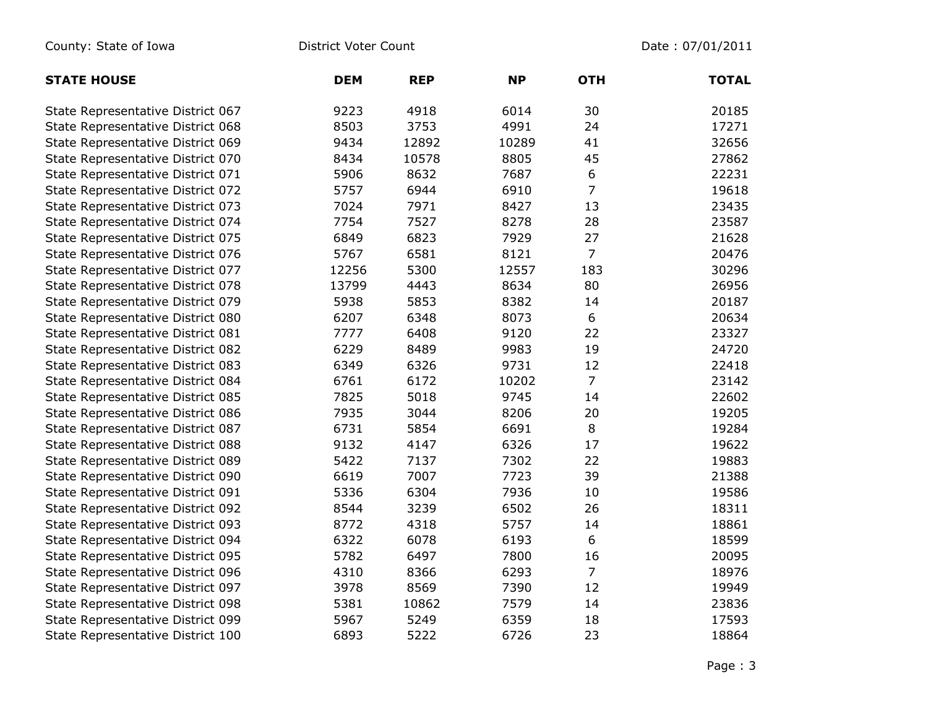| <b>STATE HOUSE</b>                | <b>DEM</b> | <b>REP</b> | <b>NP</b> | <b>OTH</b>     | <b>TOTAL</b> |
|-----------------------------------|------------|------------|-----------|----------------|--------------|
| State Representative District 067 | 9223       | 4918       | 6014      | 30             | 20185        |
| State Representative District 068 | 8503       | 3753       | 4991      | 24             | 17271        |
| State Representative District 069 | 9434       | 12892      | 10289     | 41             | 32656        |
| State Representative District 070 | 8434       | 10578      | 8805      | 45             | 27862        |
| State Representative District 071 | 5906       | 8632       | 7687      | 6              | 22231        |
| State Representative District 072 | 5757       | 6944       | 6910      | 7              | 19618        |
| State Representative District 073 | 7024       | 7971       | 8427      | 13             | 23435        |
| State Representative District 074 | 7754       | 7527       | 8278      | 28             | 23587        |
| State Representative District 075 | 6849       | 6823       | 7929      | 27             | 21628        |
| State Representative District 076 | 5767       | 6581       | 8121      | $\overline{7}$ | 20476        |
| State Representative District 077 | 12256      | 5300       | 12557     | 183            | 30296        |
| State Representative District 078 | 13799      | 4443       | 8634      | 80             | 26956        |
| State Representative District 079 | 5938       | 5853       | 8382      | 14             | 20187        |
| State Representative District 080 | 6207       | 6348       | 8073      | 6              | 20634        |
| State Representative District 081 | 7777       | 6408       | 9120      | 22             | 23327        |
| State Representative District 082 | 6229       | 8489       | 9983      | 19             | 24720        |
| State Representative District 083 | 6349       | 6326       | 9731      | 12             | 22418        |
| State Representative District 084 | 6761       | 6172       | 10202     | $\overline{7}$ | 23142        |
| State Representative District 085 | 7825       | 5018       | 9745      | 14             | 22602        |
| State Representative District 086 | 7935       | 3044       | 8206      | 20             | 19205        |
| State Representative District 087 | 6731       | 5854       | 6691      | 8              | 19284        |
| State Representative District 088 | 9132       | 4147       | 6326      | 17             | 19622        |
| State Representative District 089 | 5422       | 7137       | 7302      | 22             | 19883        |
| State Representative District 090 | 6619       | 7007       | 7723      | 39             | 21388        |
| State Representative District 091 | 5336       | 6304       | 7936      | 10             | 19586        |
| State Representative District 092 | 8544       | 3239       | 6502      | 26             | 18311        |
| State Representative District 093 | 8772       | 4318       | 5757      | 14             | 18861        |
| State Representative District 094 | 6322       | 6078       | 6193      | 6              | 18599        |
| State Representative District 095 | 5782       | 6497       | 7800      | 16             | 20095        |
| State Representative District 096 | 4310       | 8366       | 6293      | $\overline{7}$ | 18976        |
| State Representative District 097 | 3978       | 8569       | 7390      | 12             | 19949        |
| State Representative District 098 | 5381       | 10862      | 7579      | 14             | 23836        |
| State Representative District 099 | 5967       | 5249       | 6359      | 18             | 17593        |
| State Representative District 100 | 6893       | 5222       | 6726      | 23             | 18864        |